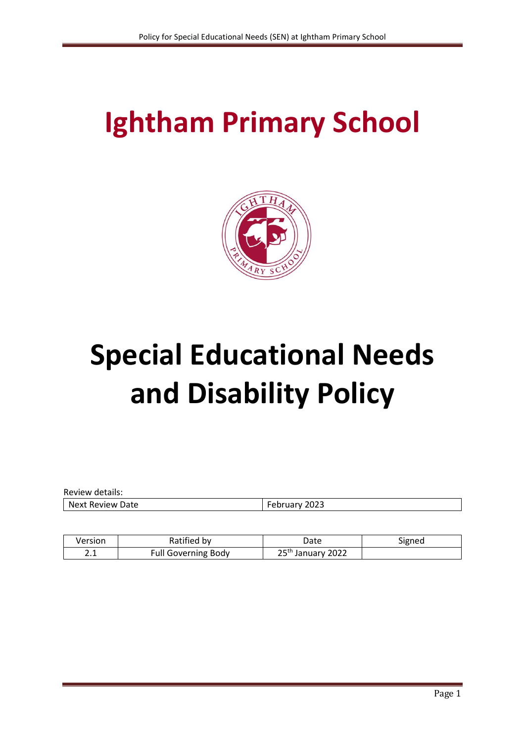# **Ightham Primary School**



# **Special Educational Needs and Disability Policy**

| Review details:  |               |
|------------------|---------------|
| Next Review Date | February 2023 |
|                  |               |

| Version        | Ratified by                | Date                             | Signed |
|----------------|----------------------------|----------------------------------|--------|
| ີ່<br><u>.</u> | <b>Full Governing Body</b> | つらい<br><sup>1</sup> January 2022 |        |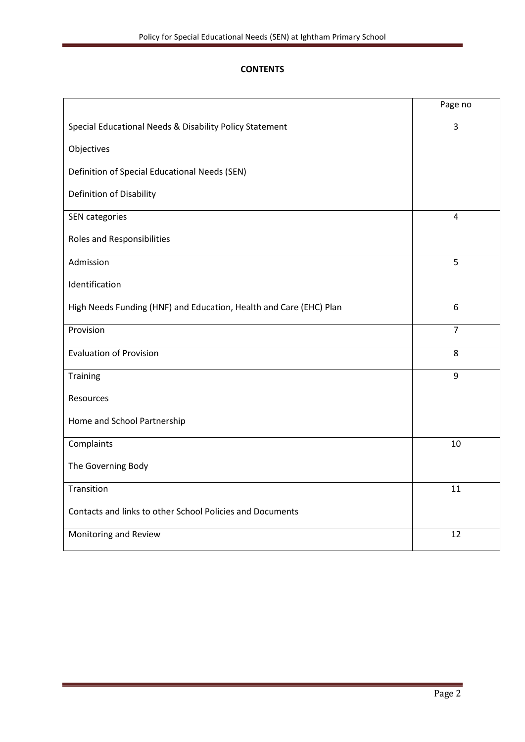# **CONTENTS**

|                                                                    | Page no        |
|--------------------------------------------------------------------|----------------|
| Special Educational Needs & Disability Policy Statement            | 3              |
| Objectives                                                         |                |
| Definition of Special Educational Needs (SEN)                      |                |
| Definition of Disability                                           |                |
| <b>SEN</b> categories                                              | 4              |
| Roles and Responsibilities                                         |                |
| Admission                                                          | 5              |
| Identification                                                     |                |
| High Needs Funding (HNF) and Education, Health and Care (EHC) Plan | 6              |
| Provision                                                          | $\overline{7}$ |
| <b>Evaluation of Provision</b>                                     | 8              |
| Training                                                           | 9              |
| Resources                                                          |                |
| Home and School Partnership                                        |                |
| Complaints                                                         | 10             |
| The Governing Body                                                 |                |
| Transition                                                         | 11             |
| Contacts and links to other School Policies and Documents          |                |
| Monitoring and Review                                              | 12             |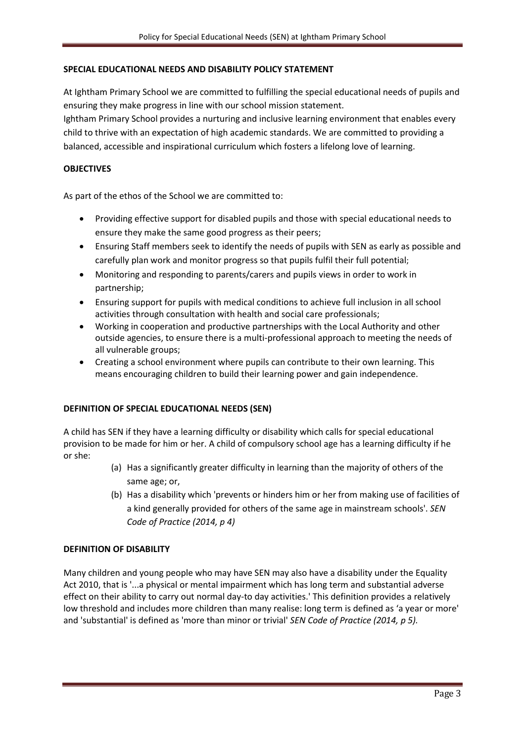#### **SPECIAL EDUCATIONAL NEEDS AND DISABILITY POLICY STATEMENT**

At Ightham Primary School we are committed to fulfilling the special educational needs of pupils and ensuring they make progress in line with our school mission statement.

Ightham Primary School provides a nurturing and inclusive learning environment that enables every child to thrive with an expectation of high academic standards. We are committed to providing a balanced, accessible and inspirational curriculum which fosters a lifelong love of learning.

## **OBJECTIVES**

As part of the ethos of the School we are committed to:

- Providing effective support for disabled pupils and those with special educational needs to ensure they make the same good progress as their peers;
- Ensuring Staff members seek to identify the needs of pupils with SEN as early as possible and carefully plan work and monitor progress so that pupils fulfil their full potential;
- Monitoring and responding to parents/carers and pupils views in order to work in partnership;
- Ensuring support for pupils with medical conditions to achieve full inclusion in all school activities through consultation with health and social care professionals;
- Working in cooperation and productive partnerships with the Local Authority and other outside agencies, to ensure there is a multi-professional approach to meeting the needs of all vulnerable groups;
- Creating a school environment where pupils can contribute to their own learning. This means encouraging children to build their learning power and gain independence.

#### **DEFINITION OF SPECIAL EDUCATIONAL NEEDS (SEN)**

A child has SEN if they have a learning difficulty or disability which calls for special educational provision to be made for him or her. A child of compulsory school age has a learning difficulty if he or she:

- (a) Has a significantly greater difficulty in learning than the majority of others of the same age; or,
- (b) Has a disability which 'prevents or hinders him or her from making use of facilities of a kind generally provided for others of the same age in mainstream schools'. *SEN Code of Practice (2014, p 4)*

#### **DEFINITION OF DISABILITY**

Many children and young people who may have SEN may also have a disability under the Equality Act 2010, that is '...a physical or mental impairment which has long term and substantial adverse effect on their ability to carry out normal day-to day activities.' This definition provides a relatively low threshold and includes more children than many realise: long term is defined as 'a year or more' and 'substantial' is defined as 'more than minor or trivial' *SEN Code of Practice (2014, p 5).*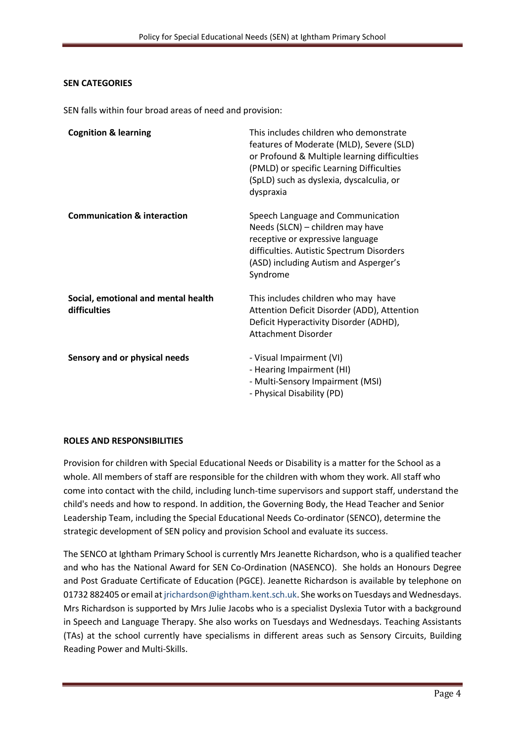## **SEN CATEGORIES**

SEN falls within four broad areas of need and provision:

| <b>Cognition &amp; learning</b>                     | This includes children who demonstrate<br>features of Moderate (MLD), Severe (SLD)<br>or Profound & Multiple learning difficulties<br>(PMLD) or specific Learning Difficulties<br>(SpLD) such as dyslexia, dyscalculia, or<br>dyspraxia |
|-----------------------------------------------------|-----------------------------------------------------------------------------------------------------------------------------------------------------------------------------------------------------------------------------------------|
| <b>Communication &amp; interaction</b>              | Speech Language and Communication<br>Needs (SLCN) - children may have<br>receptive or expressive language<br>difficulties. Autistic Spectrum Disorders<br>(ASD) including Autism and Asperger's<br>Syndrome                             |
| Social, emotional and mental health<br>difficulties | This includes children who may have<br>Attention Deficit Disorder (ADD), Attention<br>Deficit Hyperactivity Disorder (ADHD),<br><b>Attachment Disorder</b>                                                                              |
| Sensory and or physical needs                       | - Visual Impairment (VI)<br>- Hearing Impairment (HI)<br>- Multi-Sensory Impairment (MSI)<br>- Physical Disability (PD)                                                                                                                 |

#### **ROLES AND RESPONSIBILITIES**

Provision for children with Special Educational Needs or Disability is a matter for the School as a whole. All members of staff are responsible for the children with whom they work. All staff who come into contact with the child, including lunch-time supervisors and support staff, understand the child's needs and how to respond. In addition, the Governing Body, the Head Teacher and Senior Leadership Team, including the Special Educational Needs Co-ordinator (SENCO), determine the strategic development of SEN policy and provision School and evaluate its success.

The SENCO at Ightham Primary School is currently Mrs Jeanette Richardson, who is a qualified teacher and who has the National Award for SEN Co-Ordination (NASENCO). She holds an Honours Degree and Post Graduate Certificate of Education (PGCE). Jeanette Richardson is available by telephone on 01732 882405 or email at jrichardson@ightham.kent.sch.uk. She works on Tuesdays and Wednesdays. Mrs Richardson is supported by Mrs Julie Jacobs who is a specialist Dyslexia Tutor with a background in Speech and Language Therapy. She also works on Tuesdays and Wednesdays. Teaching Assistants (TAs) at the school currently have specialisms in different areas such as Sensory Circuits, Building Reading Power and Multi-Skills.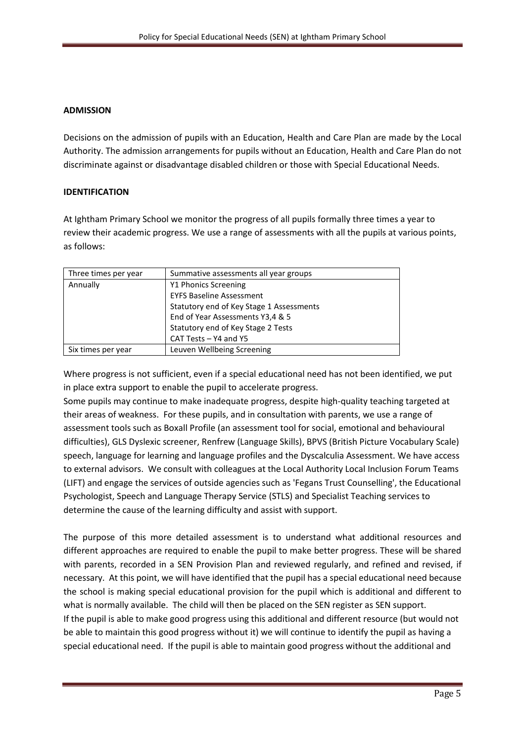# **ADMISSION**

Decisions on the admission of pupils with an Education, Health and Care Plan are made by the Local Authority. The admission arrangements for pupils without an Education, Health and Care Plan do not discriminate against or disadvantage disabled children or those with Special Educational Needs.

# **IDENTIFICATION**

At Ightham Primary School we monitor the progress of all pupils formally three times a year to review their academic progress. We use a range of assessments with all the pupils at various points, as follows:

| Three times per year | Summative assessments all year groups    |
|----------------------|------------------------------------------|
| Annually             | Y1 Phonics Screening                     |
|                      | <b>EYFS Baseline Assessment</b>          |
|                      | Statutory end of Key Stage 1 Assessments |
|                      | End of Year Assessments Y3,4 & 5         |
|                      | Statutory end of Key Stage 2 Tests       |
|                      | CAT Tests - Y4 and Y5                    |
| Six times per year   | Leuven Wellbeing Screening               |

Where progress is not sufficient, even if a special educational need has not been identified, we put in place extra support to enable the pupil to accelerate progress.

Some pupils may continue to make inadequate progress, despite high-quality teaching targeted at their areas of weakness. For these pupils, and in consultation with parents, we use a range of assessment tools such as Boxall Profile (an assessment tool for social, emotional and behavioural difficulties), GLS Dyslexic screener, Renfrew (Language Skills), BPVS (British Picture Vocabulary Scale) speech, language for learning and language profiles and the Dyscalculia Assessment. We have access to external advisors. We consult with colleagues at the Local Authority Local Inclusion Forum Teams (LIFT) and engage the services of outside agencies such as 'Fegans Trust Counselling', the Educational Psychologist, Speech and Language Therapy Service (STLS) and Specialist Teaching services to determine the cause of the learning difficulty and assist with support.

The purpose of this more detailed assessment is to understand what additional resources and different approaches are required to enable the pupil to make better progress. These will be shared with parents, recorded in a SEN Provision Plan and reviewed regularly, and refined and revised, if necessary. At this point, we will have identified that the pupil has a special educational need because the school is making special educational provision for the pupil which is additional and different to what is normally available. The child will then be placed on the SEN register as SEN support. If the pupil is able to make good progress using this additional and different resource (but would not be able to maintain this good progress without it) we will continue to identify the pupil as having a special educational need. If the pupil is able to maintain good progress without the additional and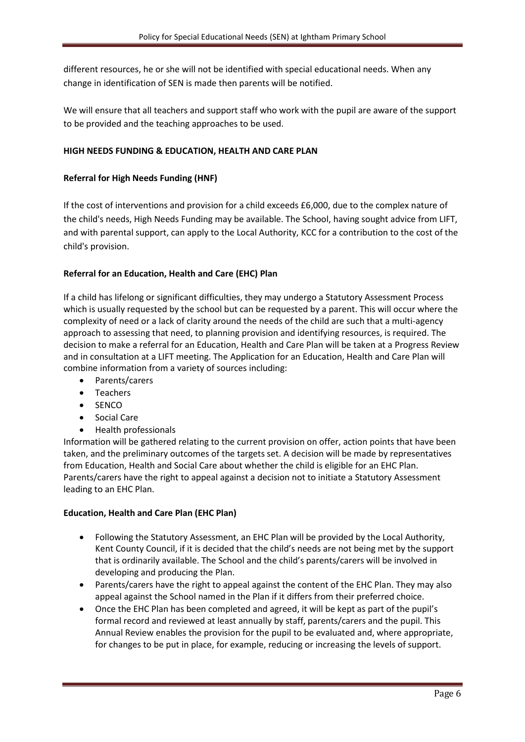different resources, he or she will not be identified with special educational needs. When any change in identification of SEN is made then parents will be notified.

We will ensure that all teachers and support staff who work with the pupil are aware of the support to be provided and the teaching approaches to be used.

# **HIGH NEEDS FUNDING & EDUCATION, HEALTH AND CARE PLAN**

## **Referral for High Needs Funding (HNF)**

If the cost of interventions and provision for a child exceeds £6,000, due to the complex nature of the child's needs, High Needs Funding may be available. The School, having sought advice from LIFT, and with parental support, can apply to the Local Authority, KCC for a contribution to the cost of the child's provision.

# **Referral for an Education, Health and Care (EHC) Plan**

If a child has lifelong or significant difficulties, they may undergo a Statutory Assessment Process which is usually requested by the school but can be requested by a parent. This will occur where the complexity of need or a lack of clarity around the needs of the child are such that a multi-agency approach to assessing that need, to planning provision and identifying resources, is required. The decision to make a referral for an Education, Health and Care Plan will be taken at a Progress Review and in consultation at a LIFT meeting. The Application for an Education, Health and Care Plan will combine information from a variety of sources including:

- Parents/carers
- Teachers
- SENCO
- Social Care
- Health professionals

Information will be gathered relating to the current provision on offer, action points that have been taken, and the preliminary outcomes of the targets set. A decision will be made by representatives from Education, Health and Social Care about whether the child is eligible for an EHC Plan. Parents/carers have the right to appeal against a decision not to initiate a Statutory Assessment leading to an EHC Plan.

#### **Education, Health and Care Plan (EHC Plan)**

- Following the Statutory Assessment, an EHC Plan will be provided by the Local Authority, Kent County Council, if it is decided that the child's needs are not being met by the support that is ordinarily available. The School and the child's parents/carers will be involved in developing and producing the Plan.
- Parents/carers have the right to appeal against the content of the EHC Plan. They may also appeal against the School named in the Plan if it differs from their preferred choice.
- Once the EHC Plan has been completed and agreed, it will be kept as part of the pupil's formal record and reviewed at least annually by staff, parents/carers and the pupil. This Annual Review enables the provision for the pupil to be evaluated and, where appropriate, for changes to be put in place, for example, reducing or increasing the levels of support.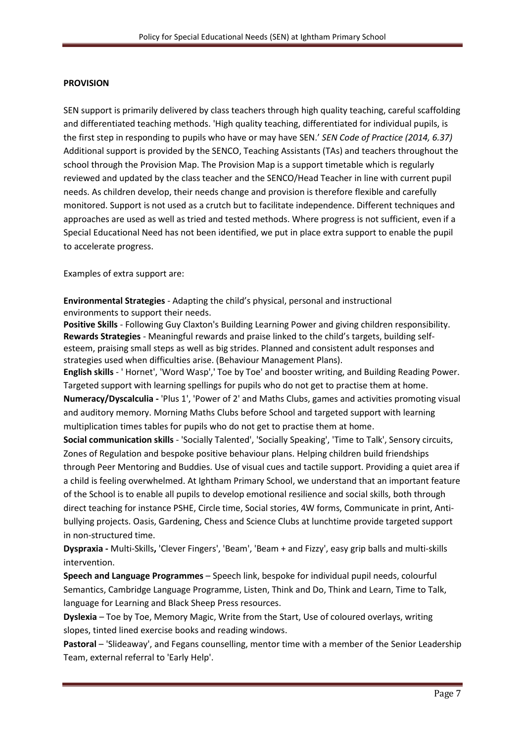#### **PROVISION**

SEN support is primarily delivered by class teachers through high quality teaching, careful scaffolding and differentiated teaching methods. 'High quality teaching, differentiated for individual pupils, is the first step in responding to pupils who have or may have SEN.' *SEN Code of Practice (2014, 6.37)*  Additional support is provided by the SENCO, Teaching Assistants (TAs) and teachers throughout the school through the Provision Map. The Provision Map is a support timetable which is regularly reviewed and updated by the class teacher and the SENCO/Head Teacher in line with current pupil needs. As children develop, their needs change and provision is therefore flexible and carefully monitored. Support is not used as a crutch but to facilitate independence. Different techniques and approaches are used as well as tried and tested methods. Where progress is not sufficient, even if a Special Educational Need has not been identified, we put in place extra support to enable the pupil to accelerate progress.

Examples of extra support are:

**Environmental Strategies** - Adapting the child's physical, personal and instructional environments to support their needs.

**Positive Skills** - Following Guy Claxton's Building Learning Power and giving children responsibility. **Rewards Strategies** - Meaningful rewards and praise linked to the child's targets, building selfesteem, praising small steps as well as big strides. Planned and consistent adult responses and strategies used when difficulties arise. (Behaviour Management Plans).

**English skills** - ' Hornet', 'Word Wasp',' Toe by Toe' and booster writing, and Building Reading Power. Targeted support with learning spellings for pupils who do not get to practise them at home.

**Numeracy/Dyscalculia -** 'Plus 1', 'Power of 2' and Maths Clubs, games and activities promoting visual and auditory memory. Morning Maths Clubs before School and targeted support with learning multiplication times tables for pupils who do not get to practise them at home.

**Social communication skills** - 'Socially Talented', 'Socially Speaking', 'Time to Talk', Sensory circuits, Zones of Regulation and bespoke positive behaviour plans. Helping children build friendships through Peer Mentoring and Buddies. Use of visual cues and tactile support. Providing a quiet area if a child is feeling overwhelmed. At Ightham Primary School, we understand that an important feature of the School is to enable all pupils to develop emotional resilience and social skills, both through direct teaching for instance PSHE, Circle time, Social stories, 4W forms, Communicate in print, Antibullying projects. Oasis, Gardening, Chess and Science Clubs at lunchtime provide targeted support in non-structured time.

**Dyspraxia -** Multi-Skills**,** 'Clever Fingers', 'Beam', 'Beam + and Fizzy', easy grip balls and multi-skills intervention.

**Speech and Language Programmes** – Speech link, bespoke for individual pupil needs, colourful Semantics, Cambridge Language Programme, Listen, Think and Do, Think and Learn, Time to Talk, language for Learning and Black Sheep Press resources.

**Dyslexia** – Toe by Toe, Memory Magic, Write from the Start, Use of coloured overlays, writing slopes, tinted lined exercise books and reading windows.

**Pastoral** – 'Slideaway', and Fegans counselling, mentor time with a member of the Senior Leadership Team, external referral to 'Early Help'.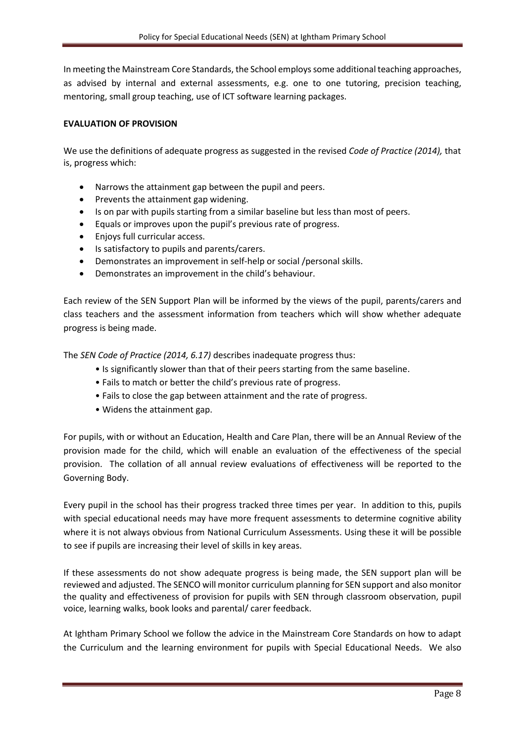In meeting the Mainstream Core Standards, the School employs some additional teaching approaches, as advised by internal and external assessments, e.g. one to one tutoring, precision teaching, mentoring, small group teaching, use of ICT software learning packages.

## **EVALUATION OF PROVISION**

We use the definitions of adequate progress as suggested in the revised *Code of Practice (2014),* that is, progress which:

- Narrows the attainment gap between the pupil and peers.
- Prevents the attainment gap widening.
- Is on par with pupils starting from a similar baseline but less than most of peers.
- Equals or improves upon the pupil's previous rate of progress.
- Enjoys full curricular access.
- Is satisfactory to pupils and parents/carers.
- Demonstrates an improvement in self-help or social /personal skills.
- Demonstrates an improvement in the child's behaviour.

Each review of the SEN Support Plan will be informed by the views of the pupil, parents/carers and class teachers and the assessment information from teachers which will show whether adequate progress is being made.

The *SEN Code of Practice (2014, 6.17)* describes inadequate progress thus:

- Is significantly slower than that of their peers starting from the same baseline.
- Fails to match or better the child's previous rate of progress.
- Fails to close the gap between attainment and the rate of progress.
- Widens the attainment gap.

For pupils, with or without an Education, Health and Care Plan, there will be an Annual Review of the provision made for the child, which will enable an evaluation of the effectiveness of the special provision. The collation of all annual review evaluations of effectiveness will be reported to the Governing Body.

Every pupil in the school has their progress tracked three times per year. In addition to this, pupils with special educational needs may have more frequent assessments to determine cognitive ability where it is not always obvious from National Curriculum Assessments. Using these it will be possible to see if pupils are increasing their level of skills in key areas.

If these assessments do not show adequate progress is being made, the SEN support plan will be reviewed and adjusted. The SENCO will monitor curriculum planning for SEN support and also monitor the quality and effectiveness of provision for pupils with SEN through classroom observation, pupil voice, learning walks, book looks and parental/ carer feedback.

At Ightham Primary School we follow the advice in the Mainstream Core Standards on how to adapt the Curriculum and the learning environment for pupils with Special Educational Needs. We also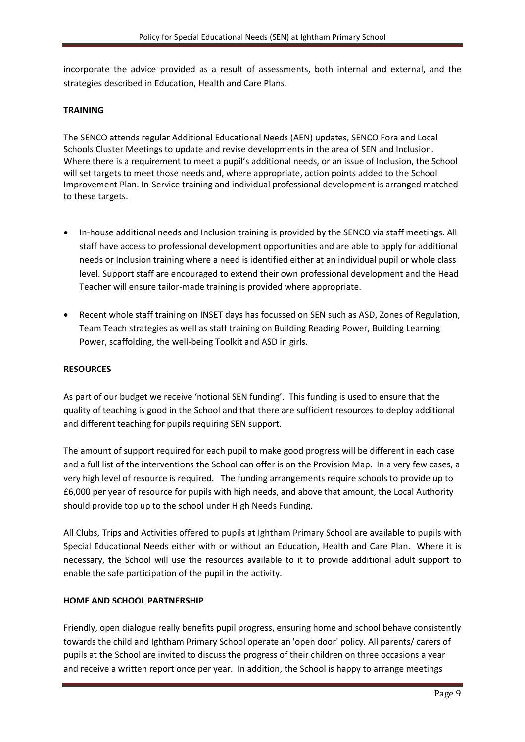incorporate the advice provided as a result of assessments, both internal and external, and the strategies described in Education, Health and Care Plans.

# **TRAINING**

The SENCO attends regular Additional Educational Needs (AEN) updates, SENCO Fora and Local Schools Cluster Meetings to update and revise developments in the area of SEN and Inclusion. Where there is a requirement to meet a pupil's additional needs, or an issue of Inclusion, the School will set targets to meet those needs and, where appropriate, action points added to the School Improvement Plan. In-Service training and individual professional development is arranged matched to these targets.

- In-house additional needs and Inclusion training is provided by the SENCO via staff meetings. All staff have access to professional development opportunities and are able to apply for additional needs or Inclusion training where a need is identified either at an individual pupil or whole class level. Support staff are encouraged to extend their own professional development and the Head Teacher will ensure tailor-made training is provided where appropriate.
- Recent whole staff training on INSET days has focussed on SEN such as ASD, Zones of Regulation, Team Teach strategies as well as staff training on Building Reading Power, Building Learning Power, scaffolding, the well-being Toolkit and ASD in girls.

# **RESOURCES**

As part of our budget we receive 'notional SEN funding'. This funding is used to ensure that the quality of teaching is good in the School and that there are sufficient resources to deploy additional and different teaching for pupils requiring SEN support.

The amount of support required for each pupil to make good progress will be different in each case and a full list of the interventions the School can offer is on the Provision Map. In a very few cases, a very high level of resource is required. The funding arrangements require schools to provide up to £6,000 per year of resource for pupils with high needs, and above that amount, the Local Authority should provide top up to the school under High Needs Funding.

All Clubs, Trips and Activities offered to pupils at Ightham Primary School are available to pupils with Special Educational Needs either with or without an Education, Health and Care Plan. Where it is necessary, the School will use the resources available to it to provide additional adult support to enable the safe participation of the pupil in the activity.

#### **HOME AND SCHOOL PARTNERSHIP**

Friendly, open dialogue really benefits pupil progress, ensuring home and school behave consistently towards the child and Ightham Primary School operate an 'open door' policy. All parents/ carers of pupils at the School are invited to discuss the progress of their children on three occasions a year and receive a written report once per year. In addition, the School is happy to arrange meetings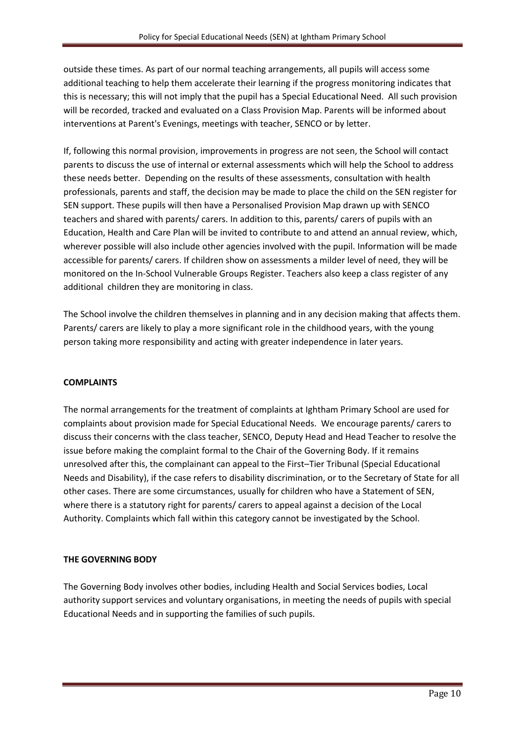outside these times. As part of our normal teaching arrangements, all pupils will access some additional teaching to help them accelerate their learning if the progress monitoring indicates that this is necessary; this will not imply that the pupil has a Special Educational Need. All such provision will be recorded, tracked and evaluated on a Class Provision Map. Parents will be informed about interventions at Parent's Evenings, meetings with teacher, SENCO or by letter.

If, following this normal provision, improvements in progress are not seen, the School will contact parents to discuss the use of internal or external assessments which will help the School to address these needs better. Depending on the results of these assessments, consultation with health professionals, parents and staff, the decision may be made to place the child on the SEN register for SEN support. These pupils will then have a Personalised Provision Map drawn up with SENCO teachers and shared with parents/ carers. In addition to this, parents/ carers of pupils with an Education, Health and Care Plan will be invited to contribute to and attend an annual review, which, wherever possible will also include other agencies involved with the pupil. Information will be made accessible for parents/ carers. If children show on assessments a milder level of need, they will be monitored on the In-School Vulnerable Groups Register. Teachers also keep a class register of any additional children they are monitoring in class.

The School involve the children themselves in planning and in any decision making that affects them. Parents/ carers are likely to play a more significant role in the childhood years, with the young person taking more responsibility and acting with greater independence in later years.

#### **COMPLAINTS**

The normal arrangements for the treatment of complaints at Ightham Primary School are used for complaints about provision made for Special Educational Needs. We encourage parents/ carers to discuss their concerns with the class teacher, SENCO, Deputy Head and Head Teacher to resolve the issue before making the complaint formal to the Chair of the Governing Body. If it remains unresolved after this, the complainant can appeal to the First–Tier Tribunal (Special Educational Needs and Disability), if the case refers to disability discrimination, or to the Secretary of State for all other cases. There are some circumstances, usually for children who have a Statement of SEN, where there is a statutory right for parents/ carers to appeal against a decision of the Local Authority. Complaints which fall within this category cannot be investigated by the School.

# **THE GOVERNING BODY**

The Governing Body involves other bodies, including Health and Social Services bodies, Local authority support services and voluntary organisations, in meeting the needs of pupils with special Educational Needs and in supporting the families of such pupils.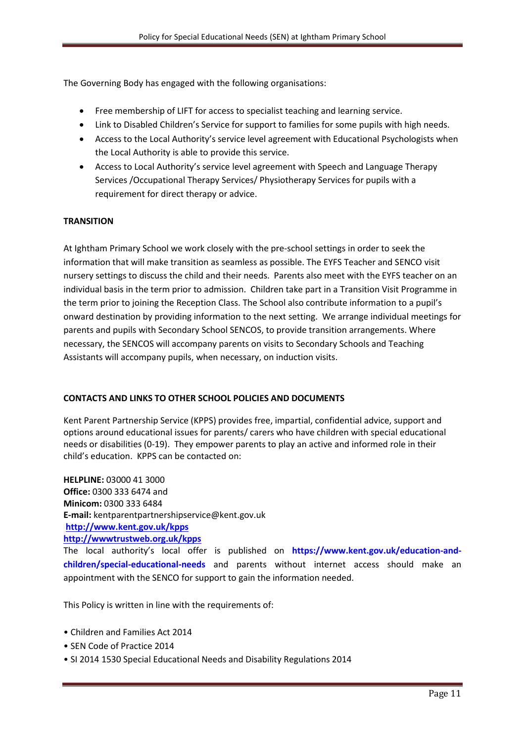The Governing Body has engaged with the following organisations:

- Free membership of LIFT for access to specialist teaching and learning service.
- Link to Disabled Children's Service for support to families for some pupils with high needs.
- Access to the Local Authority's service level agreement with Educational Psychologists when the Local Authority is able to provide this service.
- Access to Local Authority's service level agreement with Speech and Language Therapy Services /Occupational Therapy Services/ Physiotherapy Services for pupils with a requirement for direct therapy or advice.

# **TRANSITION**

At Ightham Primary School we work closely with the pre-school settings in order to seek the information that will make transition as seamless as possible. The EYFS Teacher and SENCO visit nursery settings to discuss the child and their needs. Parents also meet with the EYFS teacher on an individual basis in the term prior to admission. Children take part in a Transition Visit Programme in the term prior to joining the Reception Class. The School also contribute information to a pupil's onward destination by providing information to the next setting. We arrange individual meetings for parents and pupils with Secondary School SENCOS, to provide transition arrangements. Where necessary, the SENCOS will accompany parents on visits to Secondary Schools and Teaching Assistants will accompany pupils, when necessary, on induction visits.

# **CONTACTS AND LINKS TO OTHER SCHOOL POLICIES AND DOCUMENTS**

Kent Parent Partnership Service (KPPS) provides free, impartial, confidential advice, support and options around educational issues for parents/ carers who have children with special educational needs or disabilities (0-19). They empower parents to play an active and informed role in their child's education. KPPS can be contacted on:

**HELPLINE:** 03000 41 3000 **Office:** 0300 333 6474 and **Minicom:** 0300 333 6484 **E-mail:** kentparentpartnershipservice@kent.gov.uk **<http://www.kent.gov.uk/kpps> [http://wwwtrustweb.org.uk/kpps](http://www.kent.gov.uk/kpps)**

The local authority's local offer is published on **https://www.kent.gov.uk/education-andchildren/special-educational-needs** and parents without internet access should make an appointment with the SENCO for support to gain the information needed.

This Policy is written in line with the requirements of:

- Children and Families Act 2014
- SEN Code of Practice 2014
- SI 2014 1530 Special Educational Needs and Disability Regulations 2014